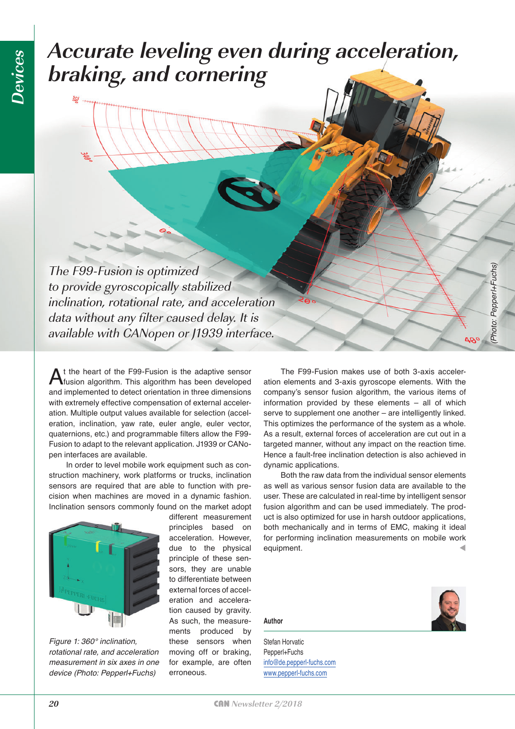## **Accurate leveling even during acceleration, braking, and cornering**

The F99-Fusion is optimized to provide gyroscopically stabilized inclination, rotational rate, and acceleration data without any filter caused delay. It is available with CANopen or J1939 interface.

At the heart of the F99-Fusion is the adaptive sensor fusion algorithm. This algorithm has been developed and implemented to detect orientation in three dimensions with extremely effective compensation of external acceleration. Multiple output values available for selection (acceleration, inclination, yaw rate, euler angle, euler vector, quaternions, etc.) and programmable filters allow the F99- Fusion to adapt to the relevant application. J1939 or CANopen interfaces are available.

In order to level mobile work equipment such as construction machinery, work platforms or trucks, inclination sensors are required that are able to function with precision when machines are moved in a dynamic fashion. Inclination sensors commonly found on the market adopt



*Figure 1: 360° inclination, rotational rate, and acceleration measurement in six axes in one device (Photo: Pepperl+Fuchs)*

different measurement principles based on acceleration. However, due to the physical principle of these sensors, they are unable to differentiate between external forces of acceleration and acceleration caused by gravity. As such, the measurements produced by these sensors when moving off or braking, for example, are often erroneous.

The F99-Fusion makes use of both 3-axis acceleration elements and 3-axis gyroscope elements. With the company's sensor fusion algorithm, the various items of information provided by these elements – all of which serve to supplement one another – are intelligently linked. This optimizes the performance of the system as a whole. As a result, external forces of acceleration are cut out in a targeted manner, without any impact on the reaction time. Hence a fault-free inclination detection is also achieved in dynamic applications.

Both the raw data from the individual sensor elements as well as various sensor fusion data are available to the user. These are calculated in real-time by intelligent sensor fusion algorithm and can be used immediately. The product is also optimized for use in harsh outdoor applications, both mechanically and in terms of EMC, making it ideal for performing inclination measurements on mobile work equipment.

**Author**

Stefan Horvatic Pepperl+Fuchs [info@de.pepperl-fuchs.com](mailto:info@de.pepperl-fuchs.com) [www.pepperl-fuchs.com](http://www.pepperl-fuchs.com)



*(Photo: Pepperl+Fuchs)*

Photo: Pepperl+Fuchs)